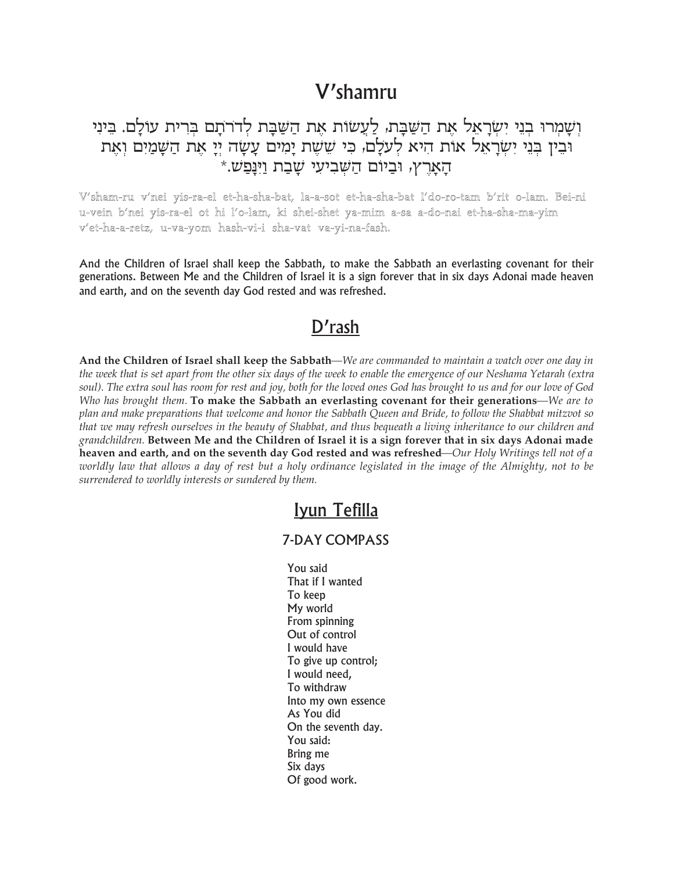# V'shamru

## וְשָמְרוּ בְנֵי יִשְׂרָאֵל אֶת הַשַּׁבָּת, לַעֲשׂוֹת אֶת הַשַּׁבָּת לְדֹרֹתָם בִּרִית עוֹלָם. בֵּינִי יבין בִּנִי יִשְׂרָאֵל אות היא לְעַלָם, כִּי שֵׁשֶׁת יָמִים עָשָׂה יְיָ אֶת הַשָּׁמַיִם וְאֶת הַאַרְץ, וּבִיוֹם הַשָּׁבִיעַי שַׁבַת וַיִּנְפַשׁ.\*

V'sham-ru v'nei yis-ra-el et-ha-sha-bat, la-a-sot et-ha-sha-bat l'do-ro-tam b'rit o-lam. Bei-ni u-vein b'nei yis-ra-el ot hi l'o-lam, ki shei-shet ya-mim a-sa a-do-nai et-ha-sha-ma-yim v'et-ha-a-retz, u-va-yom hash-vi-i sha-vat va-yi-na-fash.

And the Children of Israel shall keep the Sabbath, to make the Sabbath an everlasting covenant for their generations. Between Me and the Children of Israel it is a sign forever that in six days Adonai made heaven and earth, and on the seventh day God rested and was refreshed.

### $D'$ rash

And the Children of Israel shall keep the Sabbath—We are commanded to maintain a watch over one day in the week that is set apart from the other six days of the week to enable the emergence of our Neshama Yetarah (extra soul). The extra soul has room for rest and joy, both for the loved ones God has brought to us and for our love of God Who has brought them. To make the Sabbath an everlasting covenant for their generations—We are to plan and make preparations that welcome and honor the Sabbath Queen and Bride, to follow the Shabbat mitzvot so that we may refresh ourselves in the beauty of Shabbat, and thus bequeath a living inheritance to our children and grandchildren. Between Me and the Children of Israel it is a sign forever that in six days Adonai made heaven and earth, and on the seventh day God rested and was refreshed—Our Holy Writings tell not of a worldly law that allows a day of rest but a holy ordinance legislated in the image of the Almighty, not to be surrendered to worldly interests or sundered by them.

### Iyun Tefilla

#### **7-DAY COMPASS**

You said That if I wanted To keep My world From spinning Out of control I would have To give up control; I would need. To withdraw Into my own essence As You did On the seventh day. You said: Bring me Six days Of good work.